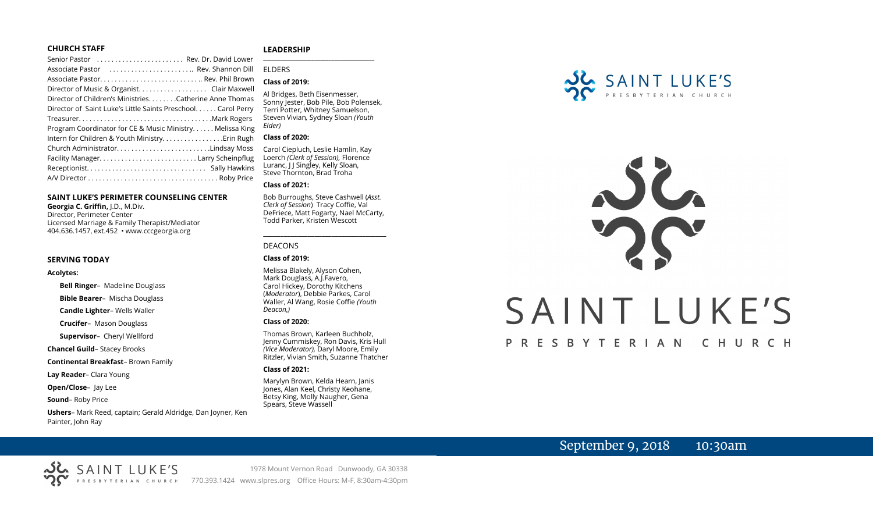#### **CHURCH STAFF**

| Senior Pastor  Rev. Dr. David Lower                          |
|--------------------------------------------------------------|
| Associate Pastor  Rev. Shannon Dill                          |
|                                                              |
| Director of Music & Organist. Clair Maxwell                  |
| Director of Children's Ministries. Catherine Anne Thomas     |
| Director of Saint Luke's Little Saints Preschool Carol Perry |
|                                                              |
| Program Coordinator for CE & Music Ministry Melissa King     |
|                                                              |
| Church AdministratorLindsay Moss                             |
|                                                              |
|                                                              |
|                                                              |

#### **SAINT LUKE'S PERIMETER COUNSELING CENTER**

**Georgia C. Griffin,** J.D., M.Div. Director, Perimeter Center Licensed Marriage & Family Therapist/Mediator 404.636.1457, ext.452 • www.cccgeorgia.org

#### **SERVING TODAY**

#### **Acolytes:**

**Bell Ringer**–Madeline Douglass

**Bible Bearer**–Mischa Douglass

**Candle Lighter**– Wells Waller

**Crucifer**–Mason Douglass

**Supervisor**–Cheryl Wellford

**Chancel Guild**– Stacey Brooks

**Continental Breakfast**– Brown Family

**Lay Reader**– Clara Young

**Open/Close**– Jay Lee

**Sound**– Roby Price

**Ushers**– Mark Reed, captain; Gerald Aldridge, Dan Joyner, Ken Painter, John Ray

#### **LEADERSHIP** **\_\_\_\_\_\_\_\_\_\_\_\_\_\_\_\_\_\_\_\_\_\_\_\_\_\_\_\_\_\_\_\_\_\_\_\_\_\_\_**

ELDERS

#### **Class of 2019:**

Al Bridges, Beth Eisenmesser, Sonny Jester, Bob Pile, Bob Polensek, Terri Potter, Whitney Samuelson, Steven Vivian*,* Sydney Sloan *(Youth Elder)*

#### **Class of 2020:**

Carol Ciepluch, Leslie Hamlin, Kay Loerch *(Clerk of Session),* Florence Luranc, J J Singley, Kelly Sloan, Steve Thornton, Brad Troha

#### **Class of 2021:**

Bob Burroughs, Steve Cashwell (*Asst. Clerk of Session*) Tracy Coffie, Val DeFriece, Matt Fogarty, Nael McCarty, Todd Parker, Kristen Wescott

\_\_\_\_\_\_\_\_\_\_\_\_\_\_\_\_\_\_\_\_\_\_\_\_\_\_\_\_\_\_\_\_\_\_\_\_

#### DEACONS

#### **Class of 2019:**

Melissa Blakely, Alyson Cohen, Mark Douglass, A.J.Favero, Carol Hickey, Dorothy Kitchens (*Moderator*), Debbie Parkes, Carol Waller, Al Wang, Rosie Coffie *(Youth Deacon,)* 

#### **Class of 2020:**

Thomas Brown, Karleen Buchholz, Jenny Cummiskey, Ron Davis, Kris Hull *(Vice Moderator),* Daryl Moore, Emily Ritzler, Vivian Smith, Suzanne Thatcher

#### **Class of 2021:**

Marylyn Brown, Kelda Hearn, Janis Jones, Alan Keel, Christy Keohane, Betsy King, Molly Naugher, Gena Spears, Steve Wassell



# SAINT LUKE'S PRESBYTERIAN CHURCH

# September 9, 2018 10:30am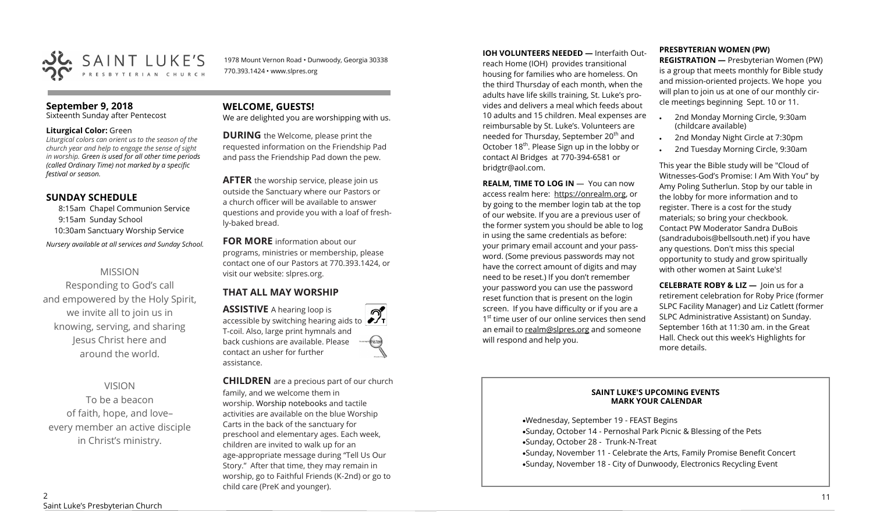

1978 Mount Vernon Road • Dunwoody, Georgia 30338 770.393.1424 • www.slpres.org

### **September 9, 2018**

Sixteenth Sunday after Pentecost

#### **Liturgical Color:** Green

*Liturgical colors can orient us to the season of the church year and help to engage the sense of sight in worship. Green is used for all other time periods (called Ordinary Time) not marked by a specific festival or season.*

# **SUNDAY SCHEDULE**

8:15am Chapel Communion Service 9:15am Sunday School 10:30am Sanctuary Worship Service *Nursery available at all services and Sunday School.* 

# MISSION

Responding to God's call and empowered by the Holy Spirit, we invite all to join us in knowing, serving, and sharing Jesus Christ here and around the world.

# VISION

To be a beacon of faith, hope, and love– every member an active disciple in Christ's ministry.

# **WELCOME, GUESTS!**

We are delighted you are worshipping with us.

**DURING** the Welcome, please print the requested information on the Friendship Pad and pass the Friendship Pad down the pew.

**AFTER** the worship service, please join us outside the Sanctuary where our Pastors or a church officer will be available to answer questions and provide you with a loaf of freshly-baked bread.

**FOR MORE** information about our programs, ministries or membership, please contact one of our Pastors at 770.393.1424, or visit our website: slpres.org.

# **THAT ALL MAY WORSHIP**

**ASSISTIVE** A hearing loop is  $\mathcal{D}_{\mathbf{r}}$ accessible by switching hearing aids to T-coil. Also, large print hymnals and back cushions are available. Please thistex contact an usher for further assistance.

**CHILDREN** are a precious part of our church family, and we welcome them in worship. Worship notebooks and tactile activities are available on the blue Worship Carts in the back of the sanctuary for preschool and elementary ages. Each week, children are invited to walk up for an age-appropriate message during "Tell Us Our Story." After that time, they may remain in worship, go to Faithful Friends (K-2nd) or go to child care (PreK and younger).

**IOH VOLUNTEERS NEEDED —** Interfaith Out-

reach Home (IOH) provides transitional housing for families who are homeless. On the third Thursday of each month, when the adults have life skills training, St. Luke's provides and delivers a meal which feeds about 10 adults and 15 children. Meal expenses are reimbursable by St. Luke's. Volunteers are needed for Thursday, September 20<sup>th</sup> and October 18<sup>th</sup>. Please Sign up in the lobby or contact Al Bridges at 770-394-6581 or bridgtr@aol.com.

**REALM. TIME TO LOG IN - You can now** access realm here: [https://onrealm.org,](https://onrealm.org) or by going to the member login tab at the top of our website. If you are a previous user of the former system you should be able to log in using the same credentials as before: your primary email account and your password. (Some previous passwords may not have the correct amount of digits and may need to be reset.) If you don't remember your password you can use the password reset function that is present on the login screen. If you have difficulty or if you are a 1<sup>st</sup> time user of our online services then send an email to [realm@slpres.org](mailto:realm@slpres.org) and someone will respond and help you.

#### **PRESBYTERIAN WOMEN (PW)**

**REGISTRATION —** Presbyterian Women (PW) is a group that meets monthly for Bible study and mission-oriented projects. We hope you will plan to join us at one of our monthly circle meetings beginning Sept. 10 or 11.

- 2nd Monday Morning Circle, 9:30am (childcare available)
- 2nd Monday Night Circle at 7:30pm
- 2nd Tuesday Morning Circle, 9:30am

This year the Bible study will be "Cloud of Witnesses-God's Promise: I Am With You" by Amy Poling Sutherlun. Stop by our table in the lobby for more information and to register. There is a cost for the study materials; so bring your checkbook. Contact PW Moderator Sandra DuBois (sandradubois@bellsouth.net) if you have any questions. Don't miss this special opportunity to study and grow spiritually with other women at Saint Luke's!

**CELEBRATE ROBY & LIZ —** Join us for a retirement celebration for Roby Price (former SLPC Facility Manager) and Liz Catlett (former SLPC Administrative Assistant) on Sunday. September 16th at 11:30 am. in the Great Hall. Check out this week's Highlights for more details.

#### **SAINT LUKE'S UPCOMING EVENTS MARK YOUR CALENDAR**

•Wednesday, September 19 - FEAST Begins •Sunday, October 14 - Pernoshal Park Picnic & Blessing of the Pets •Sunday, October 28 - Trunk-N-Treat •Sunday, November 11 - Celebrate the Arts, Family Promise Benefit Concert •Sunday, November 18 - City of Dunwoody, Electronics Recycling Event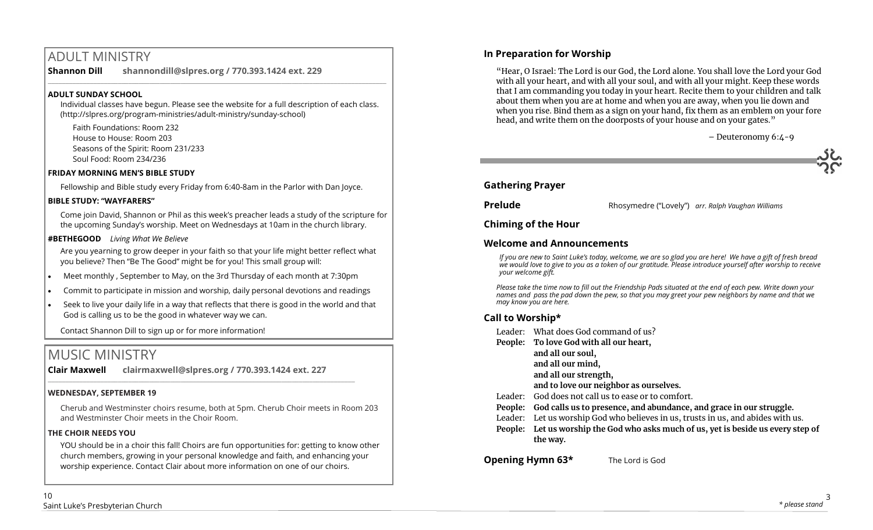# ADULT MINISTRY

**Shannon Dill shannondill@slpres.org / 770.393.1424 ext. 229**   $\_$  ,  $\_$  ,  $\_$  ,  $\_$  ,  $\_$  ,  $\_$  ,  $\_$  ,  $\_$  ,  $\_$  ,  $\_$  ,  $\_$  ,  $\_$  ,  $\_$  ,  $\_$  ,  $\_$  ,  $\_$  ,  $\_$  ,  $\_$  ,  $\_$  ,  $\_$ 

#### **ADULT SUNDAY SCHOOL**

Individual classes have begun. Please see the website for a full description of each class. (http://slpres.org/program-ministries/adult-ministry/sunday-school)

Faith Foundations: Room 232 House to House: Room 203 Seasons of the Spirit: Room 231/233 Soul Food: Room 234/236

### **FRIDAY MORNING MEN'S BIBLE STUDY**

Fellowship and Bible study every Friday from 6:40-8am in the Parlor with Dan Joyce.

### **BIBLE STUDY: "WAYFARERS"**

Come join David, Shannon or Phil as this week's preacher leads a study of the scripture for the upcoming Sunday's worship. Meet on Wednesdays at 10am in the church library.

### **#BETHEGOOD** *Living What We Believe*

Are you yearning to grow deeper in your faith so that your life might better reflect what you believe? Then "Be The Good" might be for you! This small group will:

- Meet monthly , September to May, on the 3rd Thursday of each month at 7:30pm
- Commit to participate in mission and worship, daily personal devotions and readings
- Seek to live your daily life in a way that reflects that there is good in the world and that God is calling us to be the good in whatever way we can.

Contact Shannon Dill to sign up or for more information!

# MUSIC MINISTRY

**Clair Maxwell clairmaxwell@slpres.org / 770.393.1424 ext. 227** 

 $\_$  , and the set of the set of the set of the set of the set of the set of the set of the set of the set of the set of the set of the set of the set of the set of the set of the set of the set of the set of the set of th

# **WEDNESDAY, SEPTEMBER 19**

Cherub and Westminster choirs resume, both at 5pm. Cherub Choir meets in Room 203 and Westminster Choir meets in the Choir Room.

# **THE CHOIR NEEDS YOU**

YOU should be in a choir this fall! Choirs are fun opportunities for: getting to know other church members, growing in your personal knowledge and faith, and enhancing your worship experience. Contact Clair about more information on one of our choirs.

# **In Preparation for Worship**

"Hear, O Israel: The Lord is our God, the Lord alone. You shall love the Lord your God with all your heart, and with all your soul, and with all your might. Keep these words that I am commanding you today in your heart. Recite them to your children and talk about them when you are at home and when you are away, when you lie down and when you rise. Bind them as a sign on your hand, fix them as an emblem on your fore head, and write them on the doorposts of your house and on your gates."

– Deuteronomy 6:4-9

# **Gathering Prayer**

**Prelude** Rhosymedre ("Lovely") *arr. Ralph Vaughan Williams* 

# **Chiming of the Hour**

# **Welcome and Announcements**

*If you are new to Saint Luke's today, welcome, we are so glad you are here! We have a gift of fresh bread we would love to give to you as a token of our gratitude. Please introduce yourself after worship to receive your welcome gift.*

*Please take the time now to fill out the Friendship Pads situated at the end of each pew. Write down your names and pass the pad down the pew, so that you may greet your pew neighbors by name and that we may know you are here.*

# **Call to Worship\***

- Leader: What does God command of us?
- **People: To love God with all our heart,**
	- **and all our soul,**
	- **and all our mind,**
	- **and all our strength,**
	- **and to love our neighbor as ourselves.**
- Leader: God does not call us to ease or to comfort.
- **People: God calls us to presence, and abundance, and grace in our struggle.**
- Leader: Let us worship God who believes in us, trusts in us, and abides with us.
- **People: Let us worship the God who asks much of us, yet is beside us every step of the way.**

**Opening Hymn 63\*** The Lord is God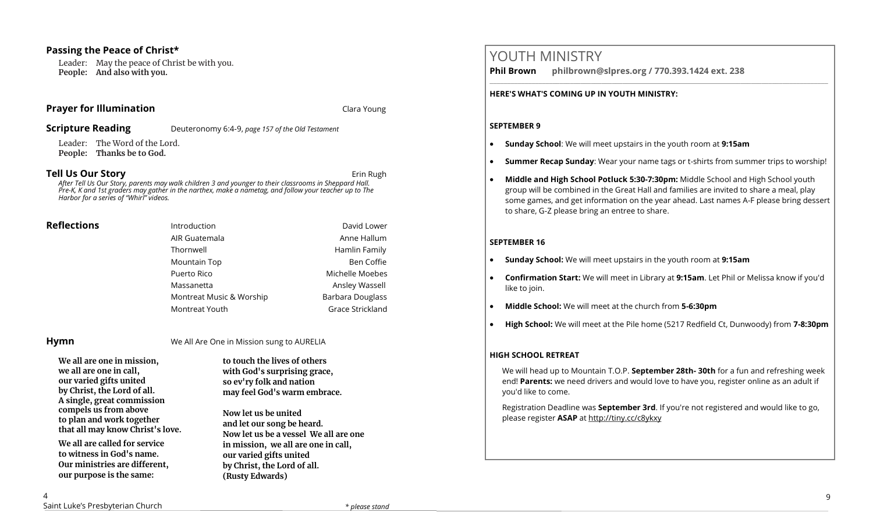### **Passing the Peace of Christ\***

Leader: May the peace of Christ be with you. **People: And also with you.** 

#### **Prayer for Illumination Clara Young Service 2018** Clara Young

**Scripture Reading** Deuteronomy 6:4-9, *page 157 of the Old Testament* 

Leader: The Word of the Lord. **People: Thanks be to God.** 

#### **Tell Us Our Story and Story and Story and Story and Story and Story and Story and Story and Story and Story and Story and Story and Story and Story and Story and Story and Story and Story and Story and Story and Story and**

*After Tell Us Our Story, parents may walk children 3 and younger to their classrooms in Sheppard Hall. Pre-K, K and 1st graders may gather in the narthex, make a nametag, and follow your teacher up to The Harbor for a series of "Whirl" videos.*

| <b>Reflections</b> | Introduction             | David Lower             |
|--------------------|--------------------------|-------------------------|
|                    | AIR Guatemala            | Anne Hallum             |
|                    | Thornwell                | Hamlin Family           |
|                    | Mountain Top             | Ben Coffie              |
|                    | Puerto Rico              | Michelle Moebes         |
|                    | Massanetta               | Ansley Wassell          |
|                    | Montreat Music & Worship | <b>Barbara Douglass</b> |
|                    | Montreat Youth           | Grace Strickland        |

**Hymn** We All Are One in Mission sung to AURELIA

**We all are one in mission, we all are one in call, our varied gifts united by Christ, the Lord of all. A single, great commission compels us from above to plan and work together that all may know Christ's love.**

**We all are called for service to witness in God's name. Our ministries are different, our purpose is the same:** 

**to touch the lives of others with God's surprising grace, so ev'ry folk and nation may feel God's warm embrace.**

**Now let us be united and let our song be heard. Now let us be a vessel We all are one in mission, we all are one in call, our varied gifts united by Christ, the Lord of all. (Rusty Edwards)**

# YOUTH MINISTRY

**Phil Brown philbrown@slpres.org / 770.393.1424 ext. 238** 

**HERE'S WHAT'S COMING UP IN YOUTH MINISTRY:**

#### **SEPTEMBER 9**

- **Sunday School**: We will meet upstairs in the youth room at **9:15am**
- **Summer Recap Sunday**: Wear your name tags or t-shirts from summer trips to worship!

 $\_$  ,  $\_$  ,  $\_$  ,  $\_$  ,  $\_$  ,  $\_$  ,  $\_$  ,  $\_$  ,  $\_$  ,  $\_$  ,  $\_$  ,  $\_$  ,  $\_$  ,  $\_$  ,  $\_$  ,  $\_$  ,  $\_$  ,  $\_$  ,  $\_$ 

• **Middle and High School Potluck 5:30-7:30pm:** Middle School and High School youth group will be combined in the Great Hall and families are invited to share a meal, play some games, and get information on the year ahead. Last names A-F please bring dessert to share, G-Z please bring an entree to share.

# **SEPTEMBER 16**

- **Sunday School:** We will meet upstairs in the youth room at **9:15am**
- **Confirmation Start:** We will meet in Library at **9:15am**. Let Phil or Melissa know if you'd like to join.
- **Middle School:** We will meet at the church from **5-6:30pm**
- **High School:** We will meet at the Pile home (5217 Redfield Ct, Dunwoody) from **7-8:30pm**

### **HIGH SCHOOL RETREAT**

We will head up to Mountain T.O.P. **September 28th- 30th** for a fun and refreshing week end! **Parents:** we need drivers and would love to have you, register online as an adult if you'd like to come.

Registration Deadline was **September 3rd**. If you're not registered and would like to go, please register **ASAP** at <http://tiny.cc/c8ykxy>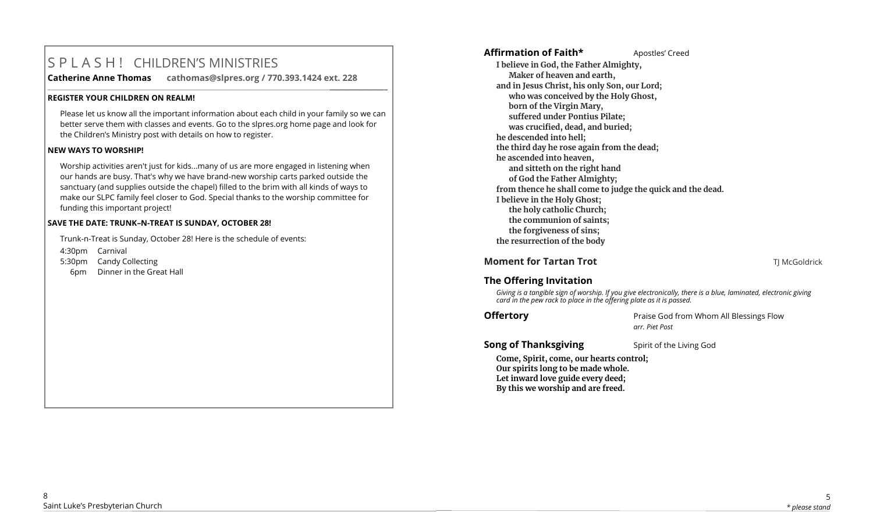# S P L A S H ! CHILDREN'S MINISTRIES

**Catherine Anne Thomas cathomas@slpres.org / 770.393.1424 ext. 228** 

#### **REGISTER YOUR CHILDREN ON REALM!**

Please let us know all the important information about each child in your family so we can better serve them with classes and events. Go to the slpres.org home page and look for the Children's Ministry post with details on how to register.

**\_\_\_\_\_\_\_\_\_\_\_\_\_\_\_\_\_\_\_\_\_\_\_\_\_\_\_\_\_\_\_\_\_\_\_\_\_\_\_\_\_\_\_\_\_\_\_\_\_\_\_\_\_\_\_\_\_\_\_\_\_\_\_\_\_\_\_\_\_\_\_\_\_\_\_\_\_\_\_\_\_\_\_\_\_\_\_\_\_\_\_\_\_\_\_\_\_\_\_\_\_\_\_\_\_\_** 

#### **NEW WAYS TO WORSHIP!**

Worship activities aren't just for kids...many of us are more engaged in listening when our hands are busy. That's why we have brand-new worship carts parked outside the sanctuary (and supplies outside the chapel) filled to the brim with all kinds of ways to make our SLPC family feel closer to God. Special thanks to the worship committee for funding this important project!

#### **SAVE THE DATE: TRUNK–N-TREAT IS SUNDAY, OCTOBER 28!**

Trunk-n-Treat is Sunday, October 28! Here is the schedule of events: 4:30pm Carnival 5:30pm Candy Collecting 6pm Dinner in the Great Hall

# Affirmation of Faith\* **Apostles'** Creed

**I believe in God, the Father Almighty, Maker of heaven and earth, and in Jesus Christ, his only Son, our Lord; who was conceived by the Holy Ghost, born of the Virgin Mary, suffered under Pontius Pilate; was crucified, dead, and buried; he descended into hell; the third day he rose again from the dead; he ascended into heaven, and sitteth on the right hand of God the Father Almighty; from thence he shall come to judge the quick and the dead. I believe in the Holy Ghost; the holy catholic Church; the communion of saints; the forgiveness of sins; the resurrection of the body**

**Moment for Tartan Trot TIMCGoldrick TIMCGoldrick** 

# **The Offering Invitation**

*Giving is a tangible sign of worship. If you give electronically, there is a blue, laminated, electronic giving card in the pew rack to place in the offering plate as it is passed.*

**Offertory Praise God from Whom All Blessings Flow** *arr. Piet Post*

# **Song of Thanksgiving** Spirit of the Living God

**Come, Spirit, come, our hearts control; Our spirits long to be made whole. Let inward love guide every deed; By this we worship and are freed.**